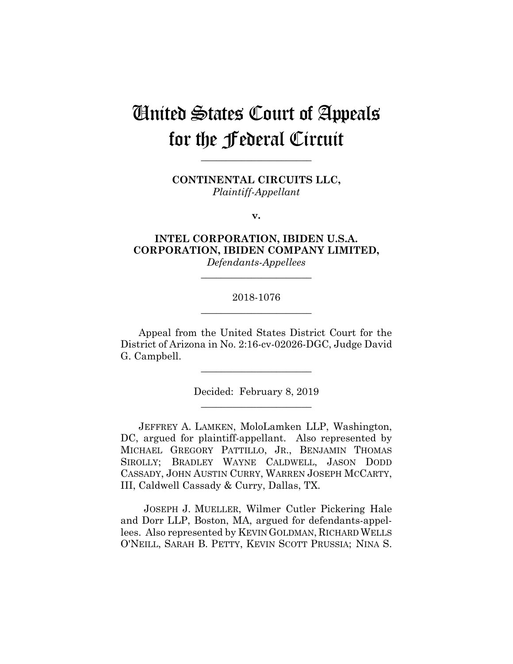# United States Court of Appeals for the Federal Circuit

**\_\_\_\_\_\_\_\_\_\_\_\_\_\_\_\_\_\_\_\_\_\_**

**CONTINENTAL CIRCUITS LLC,** *Plaintiff-Appellant*

**v.**

# **INTEL CORPORATION, IBIDEN U.S.A. CORPORATION, IBIDEN COMPANY LIMITED,**

*Defendants-Appellees* **\_\_\_\_\_\_\_\_\_\_\_\_\_\_\_\_\_\_\_\_\_\_**

# 2018-1076 **\_\_\_\_\_\_\_\_\_\_\_\_\_\_\_\_\_\_\_\_\_\_**

Appeal from the United States District Court for the District of Arizona in No. 2:16-cv-02026-DGC, Judge David G. Campbell.

**\_\_\_\_\_\_\_\_\_\_\_\_\_\_\_\_\_\_\_\_\_\_**

Decided: February 8, 2019 **\_\_\_\_\_\_\_\_\_\_\_\_\_\_\_\_\_\_\_\_\_\_**

JEFFREY A. LAMKEN, MoloLamken LLP, Washington, DC, argued for plaintiff-appellant. Also represented by MICHAEL GREGORY PATTILLO, JR., BENJAMIN THOMAS SIROLLY; BRADLEY WAYNE CALDWELL, JASON DODD CASSADY, JOHN AUSTIN CURRY, WARREN JOSEPH MCCARTY, III, Caldwell Cassady & Curry, Dallas, TX.

 JOSEPH J. MUELLER, Wilmer Cutler Pickering Hale and Dorr LLP, Boston, MA, argued for defendants-appellees. Also represented by KEVIN GOLDMAN, RICHARD WELLS O'NEILL, SARAH B. PETTY, KEVIN SCOTT PRUSSIA; NINA S.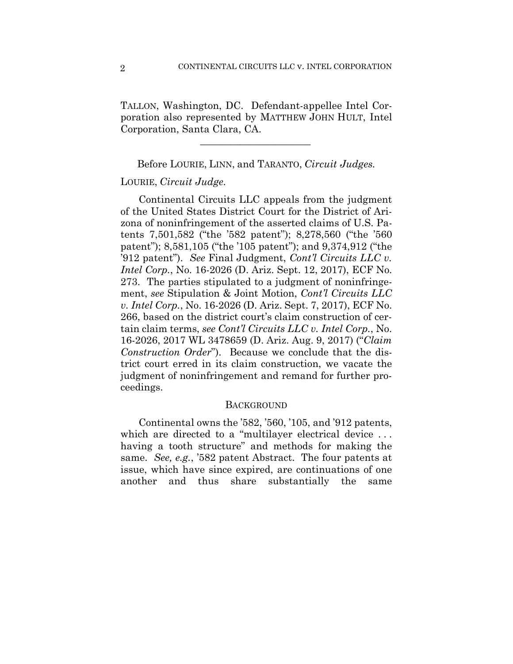TALLON, Washington, DC. Defendant-appellee Intel Corporation also represented by MATTHEW JOHN HULT, Intel Corporation, Santa Clara, CA.

 $\mathcal{L}_\text{max}$  and  $\mathcal{L}_\text{max}$  and  $\mathcal{L}_\text{max}$  and  $\mathcal{L}_\text{max}$ 

Before LOURIE, LINN, and TARANTO, *Circuit Judges.*

### LOURIE, *Circuit Judge.*

Continental Circuits LLC appeals from the judgment of the United States District Court for the District of Arizona of noninfringement of the asserted claims of U.S. Patents 7,501,582 ("the '582 patent"); 8,278,560 ("the '560 patent"); 8,581,105 ("the '105 patent"); and 9,374,912 ("the '912 patent"). *See* Final Judgment, *Cont'l Circuits LLC v. Intel Corp.*, No. 16-2026 (D. Ariz. Sept. 12, 2017), ECF No. 273. The parties stipulated to a judgment of noninfringement, *see* Stipulation & Joint Motion, *Cont'l Circuits LLC v. Intel Corp.*, No. 16-2026 (D. Ariz. Sept. 7, 2017), ECF No. 266, based on the district court's claim construction of certain claim terms, *see Cont'l Circuits LLC v. Intel Corp.*, No. 16-2026, 2017 WL 3478659 (D. Ariz. Aug. 9, 2017) ("*Claim Construction Order*"). Because we conclude that the district court erred in its claim construction, we vacate the judgment of noninfringement and remand for further proceedings.

#### **BACKGROUND**

Continental owns the '582, '560, '105, and '912 patents, which are directed to a "multilayer electrical device... having a tooth structure" and methods for making the same. *See, e.g.*, '582 patent Abstract. The four patents at issue, which have since expired, are continuations of one another and thus share substantially the same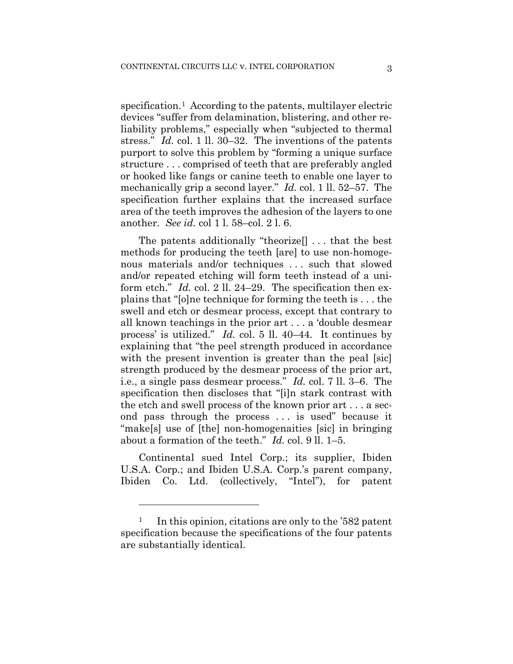specification.1 According to the patents, multilayer electric devices "suffer from delamination, blistering, and other reliability problems," especially when "subjected to thermal stress." *Id.* col. 1 ll. 30–32. The inventions of the patents purport to solve this problem by "forming a unique surface structure . . . comprised of teeth that are preferably angled or hooked like fangs or canine teeth to enable one layer to mechanically grip a second layer." *Id.* col. 1 ll. 52–57. The specification further explains that the increased surface area of the teeth improves the adhesion of the layers to one another. *See id.* col 1 l. 58–col. 2 l. 6.

The patents additionally "theorize[] . . . that the best methods for producing the teeth [are] to use non-homogenous materials and/or techniques . . . such that slowed and/or repeated etching will form teeth instead of a uniform etch." *Id.* col. 2 ll. 24–29. The specification then explains that "[o]ne technique for forming the teeth is . . . the swell and etch or desmear process, except that contrary to all known teachings in the prior art . . . a 'double desmear process' is utilized." *Id.* col. 5 ll. 40–44. It continues by explaining that "the peel strength produced in accordance with the present invention is greater than the peal [sic] strength produced by the desmear process of the prior art, i.e., a single pass desmear process." *Id.* col. 7 ll. 3–6. The specification then discloses that "[i]n stark contrast with the etch and swell process of the known prior art . . . a second pass through the process . . . is used" because it "make[s] use of [the] non-homogenaities [sic] in bringing about a formation of the teeth." *Id.* col. 9 ll. 1–5.

Continental sued Intel Corp.; its supplier, Ibiden U.S.A. Corp.; and Ibiden U.S.A. Corp.'s parent company, Ibiden Co. Ltd. (collectively, "Intel"), for patent

1

<sup>&</sup>lt;sup>1</sup> In this opinion, citations are only to the '582 patent' specification because the specifications of the four patents are substantially identical.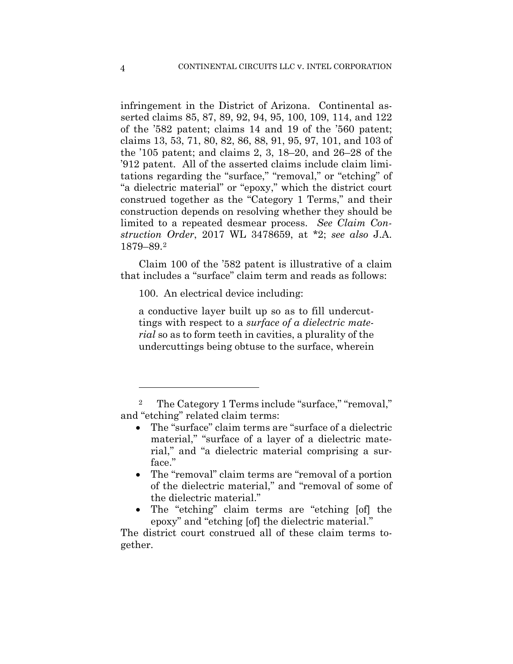infringement in the District of Arizona. Continental asserted claims 85, 87, 89, 92, 94, 95, 100, 109, 114, and 122 of the '582 patent; claims 14 and 19 of the '560 patent; claims 13, 53, 71, 80, 82, 86, 88, 91, 95, 97, 101, and 103 of the '105 patent; and claims 2, 3, 18–20, and 26–28 of the '912 patent. All of the asserted claims include claim limitations regarding the "surface," "removal," or "etching" of "a dielectric material" or "epoxy," which the district court construed together as the "Category 1 Terms," and their construction depends on resolving whether they should be limited to a repeated desmear process. *See Claim Construction Order*, 2017 WL 3478659, at \*2; *see also* J.A. 1879–89.2

Claim 100 of the '582 patent is illustrative of a claim that includes a "surface" claim term and reads as follows:

100. An electrical device including:

a conductive layer built up so as to fill undercuttings with respect to a *surface of a dielectric material* so as to form teeth in cavities, a plurality of the undercuttings being obtuse to the surface, wherein

The "etching" claim terms are "etching [of] the epoxy" and "etching [of] the dielectric material."

The district court construed all of these claim terms together.

<u>.</u>

The Category 1 Terms include "surface," "removal," and "etching" related claim terms:

<sup>•</sup> The "surface" claim terms are "surface of a dielectric material," "surface of a layer of a dielectric material," and "a dielectric material comprising a surface."

<sup>•</sup> The "removal" claim terms are "removal of a portion of the dielectric material," and "removal of some of the dielectric material."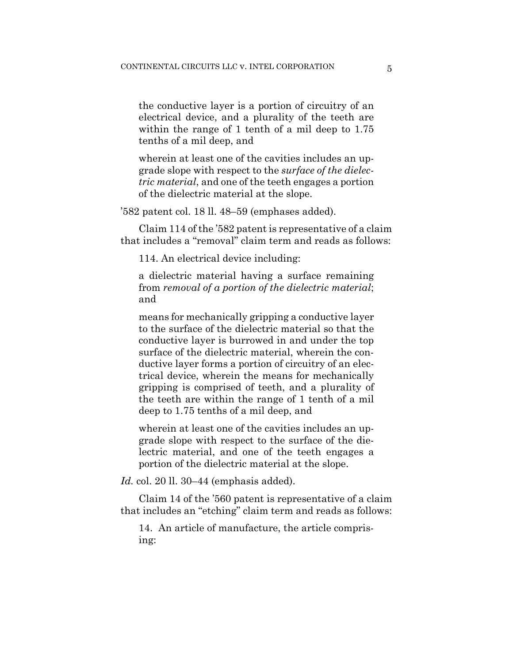the conductive layer is a portion of circuitry of an electrical device, and a plurality of the teeth are within the range of 1 tenth of a mil deep to  $1.75$ tenths of a mil deep, and

wherein at least one of the cavities includes an upgrade slope with respect to the *surface of the dielectric material*, and one of the teeth engages a portion of the dielectric material at the slope.

'582 patent col. 18 ll. 48–59 (emphases added).

Claim 114 of the '582 patent is representative of a claim that includes a "removal" claim term and reads as follows:

114. An electrical device including:

a dielectric material having a surface remaining from *removal of a portion of the dielectric material*; and

means for mechanically gripping a conductive layer to the surface of the dielectric material so that the conductive layer is burrowed in and under the top surface of the dielectric material, wherein the conductive layer forms a portion of circuitry of an electrical device, wherein the means for mechanically gripping is comprised of teeth, and a plurality of the teeth are within the range of 1 tenth of a mil deep to 1.75 tenths of a mil deep, and

wherein at least one of the cavities includes an upgrade slope with respect to the surface of the dielectric material, and one of the teeth engages a portion of the dielectric material at the slope.

*Id.* col. 20 ll. 30–44 (emphasis added).

Claim 14 of the '560 patent is representative of a claim that includes an "etching" claim term and reads as follows:

14. An article of manufacture, the article comprising: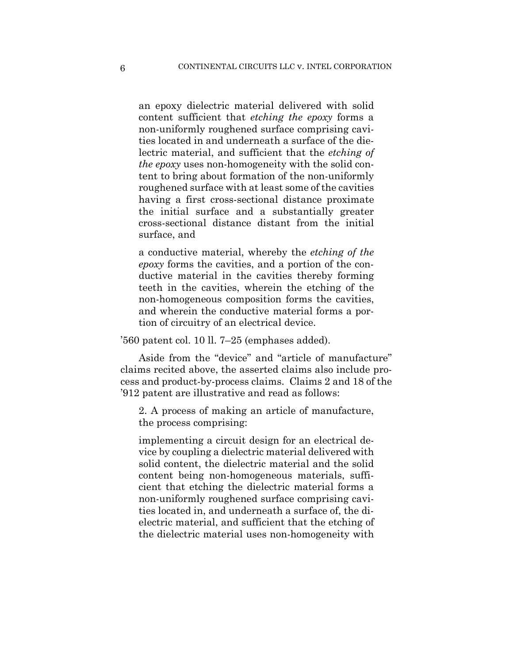an epoxy dielectric material delivered with solid content sufficient that *etching the epoxy* forms a non-uniformly roughened surface comprising cavities located in and underneath a surface of the dielectric material, and sufficient that the *etching of the epoxy* uses non-homogeneity with the solid content to bring about formation of the non-uniformly roughened surface with at least some of the cavities having a first cross-sectional distance proximate the initial surface and a substantially greater cross-sectional distance distant from the initial surface, and

a conductive material, whereby the *etching of the epoxy* forms the cavities, and a portion of the conductive material in the cavities thereby forming teeth in the cavities, wherein the etching of the non-homogeneous composition forms the cavities, and wherein the conductive material forms a portion of circuitry of an electrical device.

'560 patent col. 10 ll. 7–25 (emphases added).

Aside from the "device" and "article of manufacture" claims recited above, the asserted claims also include process and product-by-process claims. Claims 2 and 18 of the '912 patent are illustrative and read as follows:

2. A process of making an article of manufacture, the process comprising:

implementing a circuit design for an electrical device by coupling a dielectric material delivered with solid content, the dielectric material and the solid content being non-homogeneous materials, sufficient that etching the dielectric material forms a non-uniformly roughened surface comprising cavities located in, and underneath a surface of, the dielectric material, and sufficient that the etching of the dielectric material uses non-homogeneity with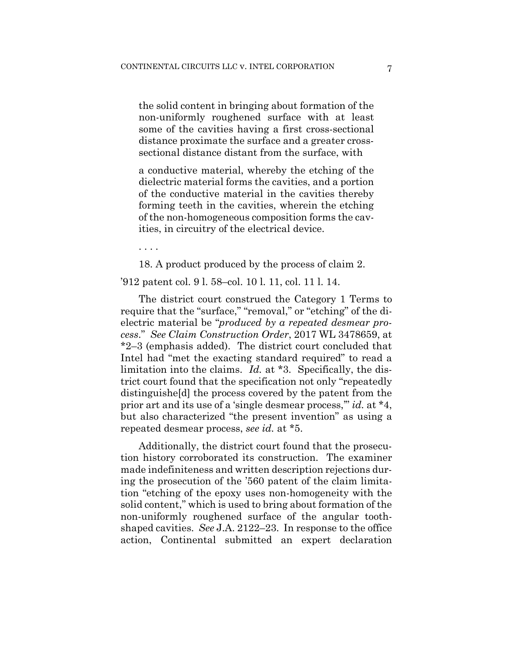the solid content in bringing about formation of the non-uniformly roughened surface with at least some of the cavities having a first cross-sectional distance proximate the surface and a greater crosssectional distance distant from the surface, with

a conductive material, whereby the etching of the dielectric material forms the cavities, and a portion of the conductive material in the cavities thereby forming teeth in the cavities, wherein the etching of the non-homogeneous composition forms the cavities, in circuitry of the electrical device.

. . . .

18. A product produced by the process of claim 2.

'912 patent col. 9 l. 58–col. 10 l. 11, col. 11 l. 14.

The district court construed the Category 1 Terms to require that the "surface," "removal," or "etching" of the dielectric material be "*produced by a repeated desmear process*." *See Claim Construction Order*, 2017 WL 3478659, at \*2–3 (emphasis added). The district court concluded that Intel had "met the exacting standard required" to read a limitation into the claims. *Id.* at \*3. Specifically, the district court found that the specification not only "repeatedly distinguishe[d] the process covered by the patent from the prior art and its use of a 'single desmear process,'" *id.* at \*4, but also characterized "the present invention" as using a repeated desmear process, *see id.* at \*5.

Additionally, the district court found that the prosecution history corroborated its construction. The examiner made indefiniteness and written description rejections during the prosecution of the '560 patent of the claim limitation "etching of the epoxy uses non-homogeneity with the solid content," which is used to bring about formation of the non-uniformly roughened surface of the angular toothshaped cavities. *See* J.A. 2122–23. In response to the office action, Continental submitted an expert declaration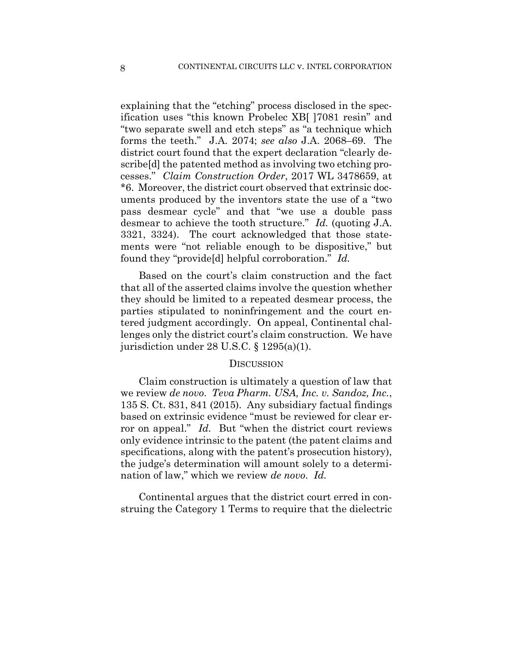explaining that the "etching" process disclosed in the specification uses "this known Probelec XB[ ]7081 resin" and "two separate swell and etch steps" as "a technique which forms the teeth." J.A. 2074; *see also* J.A. 2068–69. The district court found that the expert declaration "clearly describe[d] the patented method as involving two etching processes." *Claim Construction Order*, 2017 WL 3478659, at \*6. Moreover, the district court observed that extrinsic documents produced by the inventors state the use of a "two pass desmear cycle" and that "we use a double pass desmear to achieve the tooth structure." *Id.* (quoting J.A. 3321, 3324). The court acknowledged that those statements were "not reliable enough to be dispositive," but found they "provide[d] helpful corroboration." *Id.*

Based on the court's claim construction and the fact that all of the asserted claims involve the question whether they should be limited to a repeated desmear process, the parties stipulated to noninfringement and the court entered judgment accordingly. On appeal, Continental challenges only the district court's claim construction. We have jurisdiction under 28 U.S.C. § 1295(a)(1).

#### **DISCUSSION**

Claim construction is ultimately a question of law that we review *de novo*. *Teva Pharm. USA, Inc. v. Sandoz, Inc.*, 135 S. Ct. 831, 841 (2015). Any subsidiary factual findings based on extrinsic evidence "must be reviewed for clear error on appeal." *Id.* But "when the district court reviews only evidence intrinsic to the patent (the patent claims and specifications, along with the patent's prosecution history), the judge's determination will amount solely to a determination of law," which we review *de novo*. *Id.*

Continental argues that the district court erred in construing the Category 1 Terms to require that the dielectric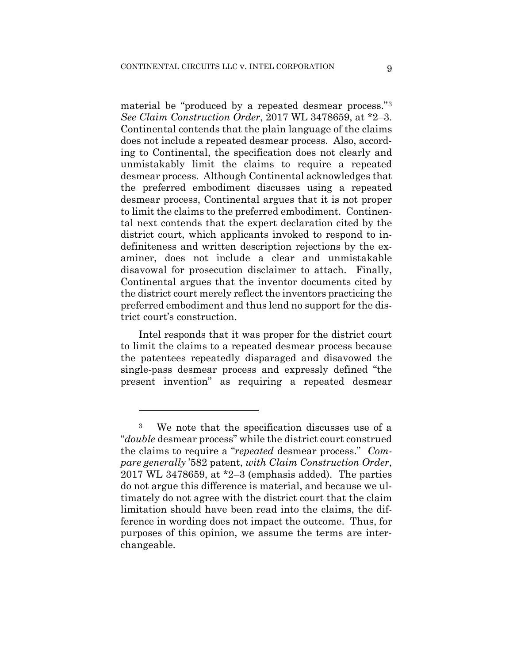material be "produced by a repeated desmear process."3 *See Claim Construction Order*, 2017 WL 3478659, at \*2–3. Continental contends that the plain language of the claims does not include a repeated desmear process. Also, according to Continental, the specification does not clearly and unmistakably limit the claims to require a repeated desmear process. Although Continental acknowledges that the preferred embodiment discusses using a repeated desmear process, Continental argues that it is not proper to limit the claims to the preferred embodiment. Continental next contends that the expert declaration cited by the district court, which applicants invoked to respond to indefiniteness and written description rejections by the examiner, does not include a clear and unmistakable disavowal for prosecution disclaimer to attach. Finally, Continental argues that the inventor documents cited by the district court merely reflect the inventors practicing the preferred embodiment and thus lend no support for the district court's construction.

Intel responds that it was proper for the district court to limit the claims to a repeated desmear process because the patentees repeatedly disparaged and disavowed the single-pass desmear process and expressly defined "the present invention" as requiring a repeated desmear

1

<sup>3</sup> We note that the specification discusses use of a "*double* desmear process" while the district court construed the claims to require a "*repeated* desmear process." *Compare generally* '582 patent, *with Claim Construction Order*, 2017 WL 3478659, at  $2-3$  (emphasis added). The parties do not argue this difference is material, and because we ultimately do not agree with the district court that the claim limitation should have been read into the claims, the difference in wording does not impact the outcome. Thus, for purposes of this opinion, we assume the terms are interchangeable.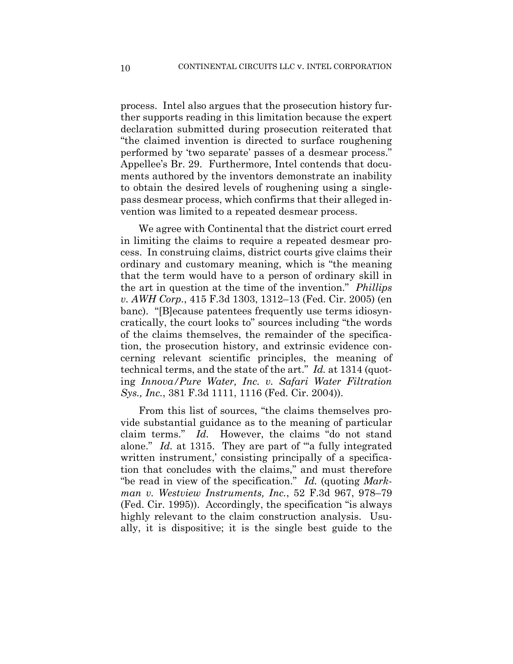process. Intel also argues that the prosecution history further supports reading in this limitation because the expert declaration submitted during prosecution reiterated that "the claimed invention is directed to surface roughening performed by 'two separate' passes of a desmear process." Appellee's Br. 29. Furthermore, Intel contends that documents authored by the inventors demonstrate an inability to obtain the desired levels of roughening using a singlepass desmear process, which confirms that their alleged invention was limited to a repeated desmear process.

We agree with Continental that the district court erred in limiting the claims to require a repeated desmear process. In construing claims, district courts give claims their ordinary and customary meaning, which is "the meaning that the term would have to a person of ordinary skill in the art in question at the time of the invention." *Phillips v. AWH Corp.*, 415 F.3d 1303, 1312–13 (Fed. Cir. 2005) (en banc). "[B]ecause patentees frequently use terms idiosyncratically, the court looks to" sources including "the words of the claims themselves, the remainder of the specification, the prosecution history, and extrinsic evidence concerning relevant scientific principles, the meaning of technical terms, and the state of the art." *Id.* at 1314 (quoting *Innova/Pure Water, Inc. v. Safari Water Filtration Sys., Inc.*, 381 F.3d 1111, 1116 (Fed. Cir. 2004)).

From this list of sources, "the claims themselves provide substantial guidance as to the meaning of particular claim terms." *Id.* However, the claims "do not stand alone." *Id.* at 1315. They are part of "a fully integrated written instrument,' consisting principally of a specification that concludes with the claims," and must therefore "be read in view of the specification." *Id.* (quoting *Markman v. Westview Instruments, Inc.*, 52 F.3d 967, 978–79 (Fed. Cir. 1995)). Accordingly, the specification "is always highly relevant to the claim construction analysis. Usually, it is dispositive; it is the single best guide to the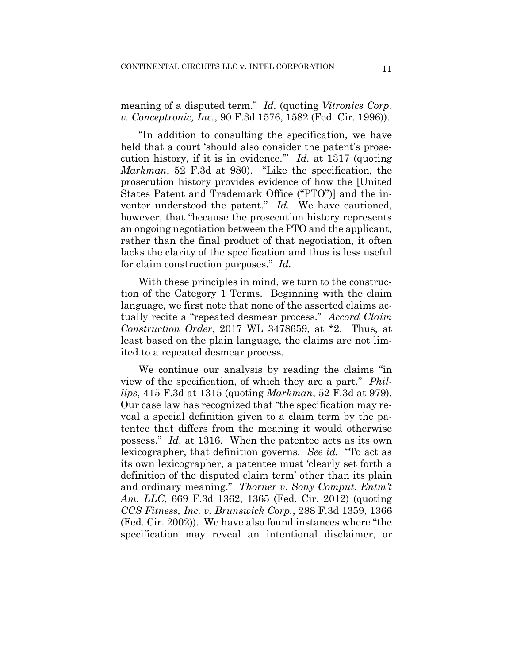meaning of a disputed term." *Id.* (quoting *Vitronics Corp. v. Conceptronic, Inc.*, 90 F.3d 1576, 1582 (Fed. Cir. 1996)).

"In addition to consulting the specification, we have held that a court 'should also consider the patent's prosecution history, if it is in evidence.'" *Id.* at 1317 (quoting *Markman*, 52 F.3d at 980). "Like the specification, the prosecution history provides evidence of how the [United States Patent and Trademark Office ("PTO")] and the inventor understood the patent." *Id.* We have cautioned, however, that "because the prosecution history represents an ongoing negotiation between the PTO and the applicant, rather than the final product of that negotiation, it often lacks the clarity of the specification and thus is less useful for claim construction purposes." *Id.*

With these principles in mind, we turn to the construction of the Category 1 Terms. Beginning with the claim language, we first note that none of the asserted claims actually recite a "repeated desmear process." *Accord Claim Construction Order*, 2017 WL 3478659, at \*2. Thus, at least based on the plain language, the claims are not limited to a repeated desmear process.

We continue our analysis by reading the claims "in view of the specification, of which they are a part." *Phillips*, 415 F.3d at 1315 (quoting *Markman*, 52 F.3d at 979). Our case law has recognized that "the specification may reveal a special definition given to a claim term by the patentee that differs from the meaning it would otherwise possess." *Id.* at 1316. When the patentee acts as its own lexicographer, that definition governs. *See id.* "To act as its own lexicographer, a patentee must 'clearly set forth a definition of the disputed claim term' other than its plain and ordinary meaning." *Thorner v. Sony Comput. Entm't Am. LLC*, 669 F.3d 1362, 1365 (Fed. Cir. 2012) (quoting *CCS Fitness, Inc. v. Brunswick Corp.*, 288 F.3d 1359, 1366 (Fed. Cir. 2002)). We have also found instances where "the specification may reveal an intentional disclaimer, or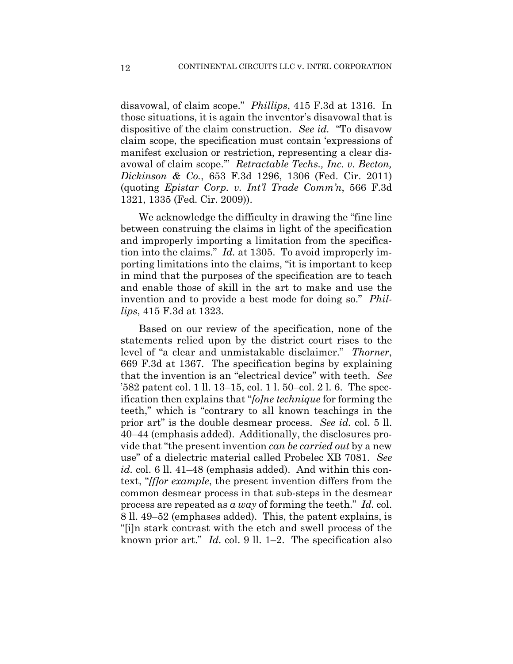disavowal, of claim scope." *Phillips*, 415 F.3d at 1316. In those situations, it is again the inventor's disavowal that is dispositive of the claim construction. *See id.* "To disavow claim scope, the specification must contain 'expressions of manifest exclusion or restriction, representing a clear disavowal of claim scope.'" *Retractable Techs., Inc. v. Becton, Dickinson & Co.*, 653 F.3d 1296, 1306 (Fed. Cir. 2011) (quoting *Epistar Corp. v. Int'l Trade Comm'n*, 566 F.3d 1321, 1335 (Fed. Cir. 2009)).

We acknowledge the difficulty in drawing the "fine line between construing the claims in light of the specification and improperly importing a limitation from the specification into the claims." *Id.* at 1305. To avoid improperly importing limitations into the claims, "it is important to keep in mind that the purposes of the specification are to teach and enable those of skill in the art to make and use the invention and to provide a best mode for doing so." *Phillips*, 415 F.3d at 1323.

Based on our review of the specification, none of the statements relied upon by the district court rises to the level of "a clear and unmistakable disclaimer." *Thorner*, 669 F.3d at 1367. The specification begins by explaining that the invention is an "electrical device" with teeth. *See* '582 patent col. 1 ll. 13–15, col. 1 l. 50–col. 2 l. 6. The specification then explains that "*[o]ne technique* for forming the teeth," which is "contrary to all known teachings in the prior art" is the double desmear process. *See id.* col. 5 ll. 40–44 (emphasis added). Additionally, the disclosures provide that "the present invention *can be carried out* by a new use" of a dielectric material called Probelec XB 7081. *See id.* col. 6 ll. 41–48 (emphasis added). And within this context, "*[f]or example*, the present invention differs from the common desmear process in that sub-steps in the desmear process are repeated as *a way* of forming the teeth." *Id.* col. 8 ll. 49–52 (emphases added). This, the patent explains, is "[i]n stark contrast with the etch and swell process of the known prior art." *Id.* col. 9 ll. 1–2. The specification also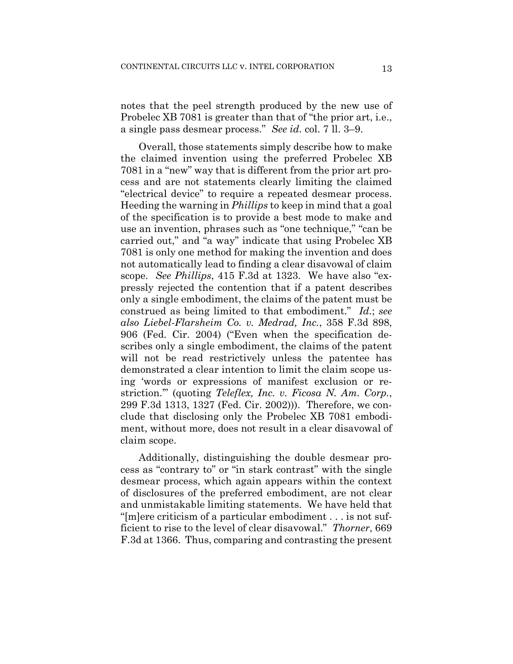notes that the peel strength produced by the new use of Probelec XB 7081 is greater than that of "the prior art, i.e., a single pass desmear process." *See id.* col. 7 ll. 3–9.

Overall, those statements simply describe how to make the claimed invention using the preferred Probelec XB 7081 in a "new" way that is different from the prior art process and are not statements clearly limiting the claimed "electrical device" to require a repeated desmear process. Heeding the warning in *Phillips* to keep in mind that a goal of the specification is to provide a best mode to make and use an invention, phrases such as "one technique," "can be carried out," and "a way" indicate that using Probelec XB 7081 is only one method for making the invention and does not automatically lead to finding a clear disavowal of claim scope. *See Phillips*, 415 F.3d at 1323. We have also "expressly rejected the contention that if a patent describes only a single embodiment, the claims of the patent must be construed as being limited to that embodiment." *Id.*; *see also Liebel-Flarsheim Co. v. Medrad, Inc.*, 358 F.3d 898, 906 (Fed. Cir. 2004) ("Even when the specification describes only a single embodiment, the claims of the patent will not be read restrictively unless the patentee has demonstrated a clear intention to limit the claim scope using 'words or expressions of manifest exclusion or restriction.'" (quoting *Teleflex, Inc. v. Ficosa N. Am. Corp.*, 299 F.3d 1313, 1327 (Fed. Cir. 2002))). Therefore, we conclude that disclosing only the Probelec XB 7081 embodiment, without more, does not result in a clear disavowal of claim scope.

Additionally, distinguishing the double desmear process as "contrary to" or "in stark contrast" with the single desmear process, which again appears within the context of disclosures of the preferred embodiment, are not clear and unmistakable limiting statements. We have held that "[m]ere criticism of a particular embodiment . . . is not sufficient to rise to the level of clear disavowal." *Thorner*, 669 F.3d at 1366. Thus, comparing and contrasting the present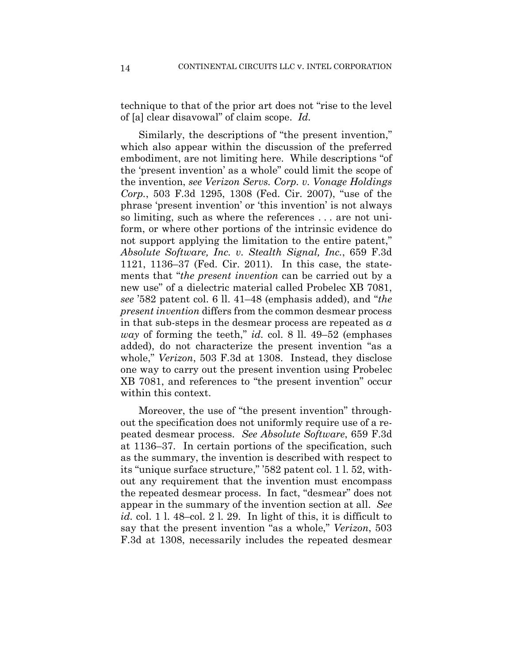technique to that of the prior art does not "rise to the level of [a] clear disavowal" of claim scope. *Id.*

Similarly, the descriptions of "the present invention," which also appear within the discussion of the preferred embodiment, are not limiting here. While descriptions "of the 'present invention' as a whole" could limit the scope of the invention, *see Verizon Servs. Corp. v. Vonage Holdings Corp.*, 503 F.3d 1295, 1308 (Fed. Cir. 2007), "use of the phrase 'present invention' or 'this invention' is not always so limiting, such as where the references . . . are not uniform, or where other portions of the intrinsic evidence do not support applying the limitation to the entire patent," *Absolute Software, Inc. v. Stealth Signal, Inc.*, 659 F.3d 1121, 1136–37 (Fed. Cir. 2011). In this case, the statements that "*the present invention* can be carried out by a new use" of a dielectric material called Probelec XB 7081, *see* '582 patent col. 6 ll. 41–48 (emphasis added), and "*the present invention* differs from the common desmear process in that sub-steps in the desmear process are repeated as *a way* of forming the teeth," *id.* col. 8 ll. 49–52 (emphases added), do not characterize the present invention "as a whole," *Verizon*, 503 F.3d at 1308. Instead, they disclose one way to carry out the present invention using Probelec XB 7081, and references to "the present invention" occur within this context.

Moreover, the use of "the present invention" throughout the specification does not uniformly require use of a repeated desmear process. *See Absolute Software*, 659 F.3d at 1136–37. In certain portions of the specification, such as the summary, the invention is described with respect to its "unique surface structure," '582 patent col. 1 l. 52, without any requirement that the invention must encompass the repeated desmear process. In fact, "desmear" does not appear in the summary of the invention section at all. *See id.* col. 1 l. 48–col. 2 l. 29. In light of this, it is difficult to say that the present invention "as a whole," *Verizon*, 503 F.3d at 1308, necessarily includes the repeated desmear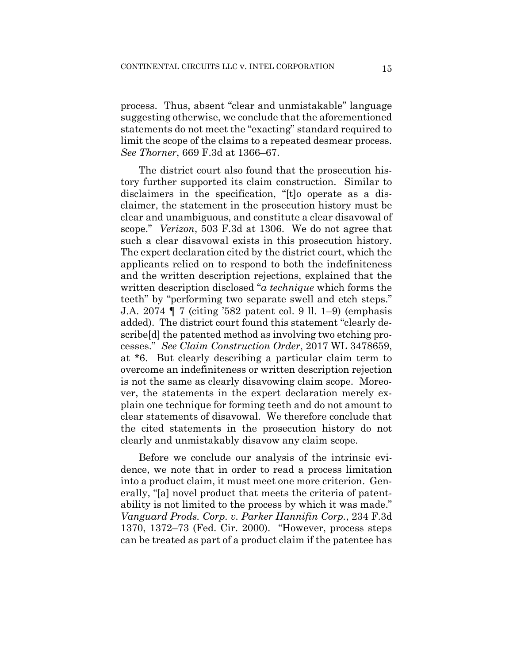process. Thus, absent "clear and unmistakable" language suggesting otherwise, we conclude that the aforementioned statements do not meet the "exacting" standard required to limit the scope of the claims to a repeated desmear process. *See Thorner*, 669 F.3d at 1366–67.

The district court also found that the prosecution history further supported its claim construction. Similar to disclaimers in the specification, "[t]o operate as a disclaimer, the statement in the prosecution history must be clear and unambiguous, and constitute a clear disavowal of scope." *Verizon*, 503 F.3d at 1306. We do not agree that such a clear disavowal exists in this prosecution history. The expert declaration cited by the district court, which the applicants relied on to respond to both the indefiniteness and the written description rejections, explained that the written description disclosed "*a technique* which forms the teeth" by "performing two separate swell and etch steps." J.A. 2074 ¶ 7 (citing '582 patent col. 9 ll. 1–9) (emphasis added). The district court found this statement "clearly describe[d] the patented method as involving two etching processes." *See Claim Construction Order*, 2017 WL 3478659, at \*6. But clearly describing a particular claim term to overcome an indefiniteness or written description rejection is not the same as clearly disavowing claim scope. Moreover, the statements in the expert declaration merely explain one technique for forming teeth and do not amount to clear statements of disavowal. We therefore conclude that the cited statements in the prosecution history do not clearly and unmistakably disavow any claim scope.

Before we conclude our analysis of the intrinsic evidence, we note that in order to read a process limitation into a product claim, it must meet one more criterion. Generally, "[a] novel product that meets the criteria of patentability is not limited to the process by which it was made." *Vanguard Prods. Corp. v. Parker Hannifin Corp.*, 234 F.3d 1370, 1372–73 (Fed. Cir. 2000). "However, process steps can be treated as part of a product claim if the patentee has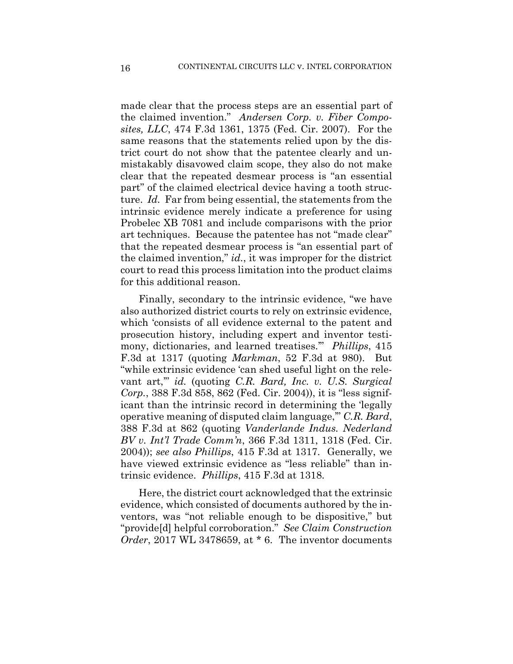made clear that the process steps are an essential part of the claimed invention." *Andersen Corp. v. Fiber Composites, LLC*, 474 F.3d 1361, 1375 (Fed. Cir. 2007). For the same reasons that the statements relied upon by the district court do not show that the patentee clearly and unmistakably disavowed claim scope, they also do not make clear that the repeated desmear process is "an essential part" of the claimed electrical device having a tooth structure. *Id.* Far from being essential, the statements from the intrinsic evidence merely indicate a preference for using Probelec XB 7081 and include comparisons with the prior art techniques. Because the patentee has not "made clear" that the repeated desmear process is "an essential part of the claimed invention," *id.*, it was improper for the district court to read this process limitation into the product claims for this additional reason.

Finally, secondary to the intrinsic evidence, "we have also authorized district courts to rely on extrinsic evidence, which 'consists of all evidence external to the patent and prosecution history, including expert and inventor testimony, dictionaries, and learned treatises.'" *Phillips*, 415 F.3d at 1317 (quoting *Markman*, 52 F.3d at 980). But "while extrinsic evidence 'can shed useful light on the relevant art,'" *id.* (quoting *C.R. Bard, Inc. v. U.S. Surgical Corp.*, 388 F.3d 858, 862 (Fed. Cir. 2004)), it is "less significant than the intrinsic record in determining the 'legally operative meaning of disputed claim language,'" *C.R. Bard*, 388 F.3d at 862 (quoting *Vanderlande Indus. Nederland BV v. Int'l Trade Comm'n*, 366 F.3d 1311, 1318 (Fed. Cir. 2004)); *see also Phillips*, 415 F.3d at 1317. Generally, we have viewed extrinsic evidence as "less reliable" than intrinsic evidence. *Phillips*, 415 F.3d at 1318.

Here, the district court acknowledged that the extrinsic evidence, which consisted of documents authored by the inventors, was "not reliable enough to be dispositive," but "provide[d] helpful corroboration." *See Claim Construction Order*, 2017 WL 3478659, at \* 6. The inventor documents